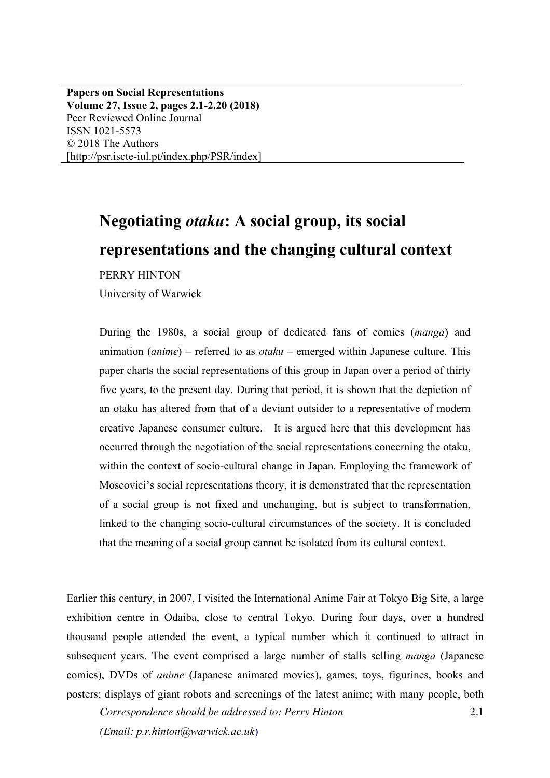**Papers on Social Representations Volume 27, Issue 2, pages 2.1-2.20 (2018)** Peer Reviewed Online Journal ISSN 1021-5573 © 2018 The Authors [http://psr.iscte-iul.pt/index.php/PSR/index]

# **Negotiating** *otaku***: A social group, its social representations and the changing cultural context**

PERRY HINTON

University of Warwick

During the 1980s, a social group of dedicated fans of comics (*manga*) and animation (*anime*) – referred to as *otaku* – emerged within Japanese culture. This paper charts the social representations of this group in Japan over a period of thirty five years, to the present day. During that period, it is shown that the depiction of an otaku has altered from that of a deviant outsider to a representative of modern creative Japanese consumer culture. It is argued here that this development has occurred through the negotiation of the social representations concerning the otaku, within the context of socio-cultural change in Japan. Employing the framework of Moscovici's social representations theory, it is demonstrated that the representation of a social group is not fixed and unchanging, but is subject to transformation, linked to the changing socio-cultural circumstances of the society. It is concluded that the meaning of a social group cannot be isolated from its cultural context.

Earlier this century, in 2007, I visited the International Anime Fair at Tokyo Big Site, a large exhibition centre in Odaiba, close to central Tokyo. During four days, over a hundred thousand people attended the event, a typical number which it continued to attract in subsequent years. The event comprised a large number of stalls selling *manga* (Japanese comics), DVDs of *anime* (Japanese animated movies), games, toys, figurines, books and posters; displays of giant robots and screenings of the latest anime; with many people, both

2.1

*Correspondence should be addressed to: Perry Hinton (Email: p.r.hinton@warwick.ac.uk*)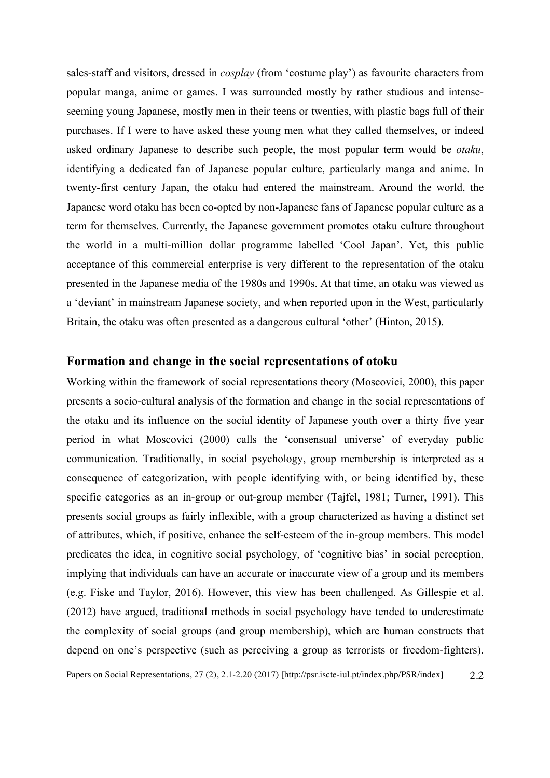sales-staff and visitors, dressed in *cosplay* (from 'costume play') as favourite characters from popular manga, anime or games. I was surrounded mostly by rather studious and intenseseeming young Japanese, mostly men in their teens or twenties, with plastic bags full of their purchases. If I were to have asked these young men what they called themselves, or indeed asked ordinary Japanese to describe such people, the most popular term would be *otaku*, identifying a dedicated fan of Japanese popular culture, particularly manga and anime. In twenty-first century Japan, the otaku had entered the mainstream. Around the world, the Japanese word otaku has been co-opted by non-Japanese fans of Japanese popular culture as a term for themselves. Currently, the Japanese government promotes otaku culture throughout the world in a multi-million dollar programme labelled 'Cool Japan'. Yet, this public acceptance of this commercial enterprise is very different to the representation of the otaku presented in the Japanese media of the 1980s and 1990s. At that time, an otaku was viewed as a 'deviant' in mainstream Japanese society, and when reported upon in the West, particularly Britain, the otaku was often presented as a dangerous cultural 'other' (Hinton, 2015).

#### **Formation and change in the social representations of otoku**

Working within the framework of social representations theory (Moscovici, 2000), this paper presents a socio-cultural analysis of the formation and change in the social representations of the otaku and its influence on the social identity of Japanese youth over a thirty five year period in what Moscovici (2000) calls the 'consensual universe' of everyday public communication. Traditionally, in social psychology, group membership is interpreted as a consequence of categorization, with people identifying with, or being identified by, these specific categories as an in-group or out-group member (Tajfel, 1981; Turner, 1991). This presents social groups as fairly inflexible, with a group characterized as having a distinct set of attributes, which, if positive, enhance the self-esteem of the in-group members. This model predicates the idea, in cognitive social psychology, of 'cognitive bias' in social perception, implying that individuals can have an accurate or inaccurate view of a group and its members (e.g. Fiske and Taylor, 2016). However, this view has been challenged. As Gillespie et al. (2012) have argued, traditional methods in social psychology have tended to underestimate the complexity of social groups (and group membership), which are human constructs that depend on one's perspective (such as perceiving a group as terrorists or freedom-fighters).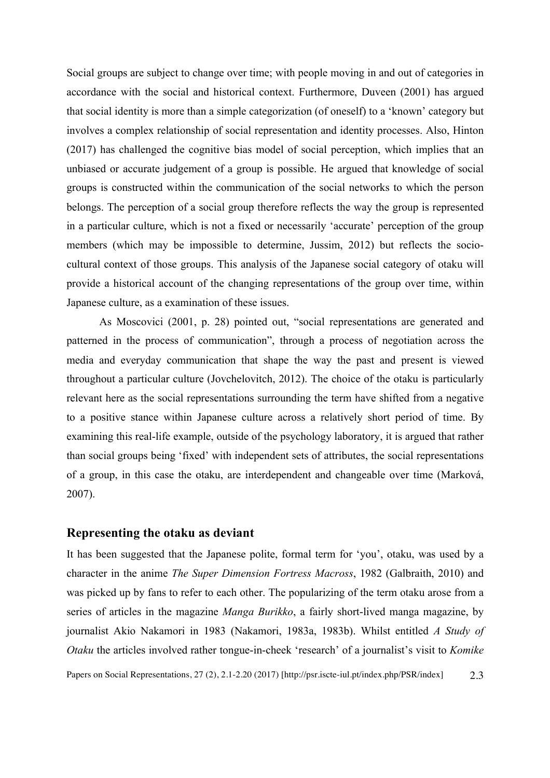Social groups are subject to change over time; with people moving in and out of categories in accordance with the social and historical context. Furthermore, Duveen (2001) has argued that social identity is more than a simple categorization (of oneself) to a 'known' category but involves a complex relationship of social representation and identity processes. Also, Hinton (2017) has challenged the cognitive bias model of social perception, which implies that an unbiased or accurate judgement of a group is possible. He argued that knowledge of social groups is constructed within the communication of the social networks to which the person belongs. The perception of a social group therefore reflects the way the group is represented in a particular culture, which is not a fixed or necessarily 'accurate' perception of the group members (which may be impossible to determine, Jussim, 2012) but reflects the sociocultural context of those groups. This analysis of the Japanese social category of otaku will provide a historical account of the changing representations of the group over time, within Japanese culture, as a examination of these issues.

As Moscovici (2001, p. 28) pointed out, "social representations are generated and patterned in the process of communication", through a process of negotiation across the media and everyday communication that shape the way the past and present is viewed throughout a particular culture (Jovchelovitch, 2012). The choice of the otaku is particularly relevant here as the social representations surrounding the term have shifted from a negative to a positive stance within Japanese culture across a relatively short period of time. By examining this real-life example, outside of the psychology laboratory, it is argued that rather than social groups being 'fixed' with independent sets of attributes, the social representations of a group, in this case the otaku, are interdependent and changeable over time (Marková, 2007).

### **Representing the otaku as deviant**

It has been suggested that the Japanese polite, formal term for 'you', otaku, was used by a character in the anime *The Super Dimension Fortress Macross*, 1982 (Galbraith, 2010) and was picked up by fans to refer to each other. The popularizing of the term otaku arose from a series of articles in the magazine *Manga Burikko*, a fairly short-lived manga magazine, by journalist Akio Nakamori in 1983 (Nakamori, 1983a, 1983b). Whilst entitled *A Study of Otaku* the articles involved rather tongue-in-cheek 'research' of a journalist's visit to *Komike*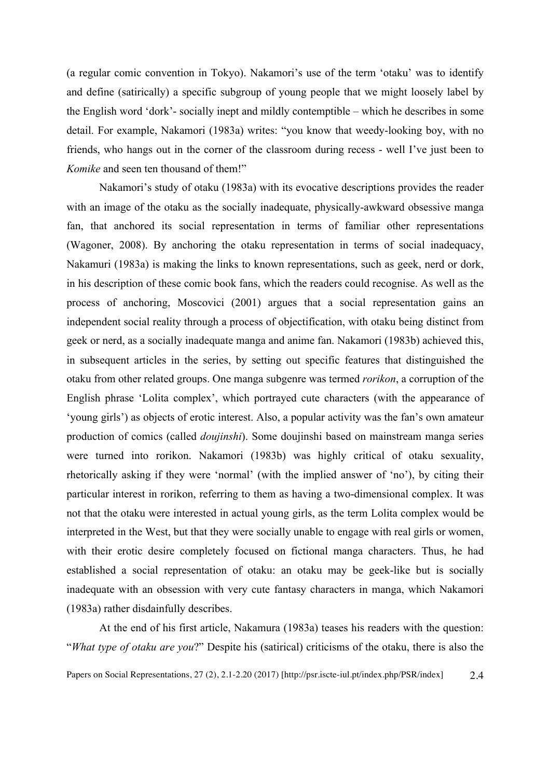(a regular comic convention in Tokyo). Nakamori's use of the term 'otaku' was to identify and define (satirically) a specific subgroup of young people that we might loosely label by the English word 'dork'- socially inept and mildly contemptible – which he describes in some detail. For example, Nakamori (1983a) writes: "you know that weedy-looking boy, with no friends, who hangs out in the corner of the classroom during recess - well I've just been to *Komike* and seen ten thousand of them!"

Nakamori's study of otaku (1983a) with its evocative descriptions provides the reader with an image of the otaku as the socially inadequate, physically-awkward obsessive manga fan, that anchored its social representation in terms of familiar other representations (Wagoner, 2008). By anchoring the otaku representation in terms of social inadequacy, Nakamuri (1983a) is making the links to known representations, such as geek, nerd or dork, in his description of these comic book fans, which the readers could recognise. As well as the process of anchoring, Moscovici (2001) argues that a social representation gains an independent social reality through a process of objectification, with otaku being distinct from geek or nerd, as a socially inadequate manga and anime fan. Nakamori (1983b) achieved this, in subsequent articles in the series, by setting out specific features that distinguished the otaku from other related groups. One manga subgenre was termed *rorikon*, a corruption of the English phrase 'Lolita complex', which portrayed cute characters (with the appearance of 'young girls') as objects of erotic interest. Also, a popular activity was the fan's own amateur production of comics (called *doujinshi*). Some doujinshi based on mainstream manga series were turned into rorikon. Nakamori (1983b) was highly critical of otaku sexuality, rhetorically asking if they were 'normal' (with the implied answer of 'no'), by citing their particular interest in rorikon, referring to them as having a two-dimensional complex. It was not that the otaku were interested in actual young girls, as the term Lolita complex would be interpreted in the West, but that they were socially unable to engage with real girls or women, with their erotic desire completely focused on fictional manga characters. Thus, he had established a social representation of otaku: an otaku may be geek-like but is socially inadequate with an obsession with very cute fantasy characters in manga, which Nakamori (1983a) rather disdainfully describes.

At the end of his first article, Nakamura (1983a) teases his readers with the question: "*What type of otaku are you*?" Despite his (satirical) criticisms of the otaku, there is also the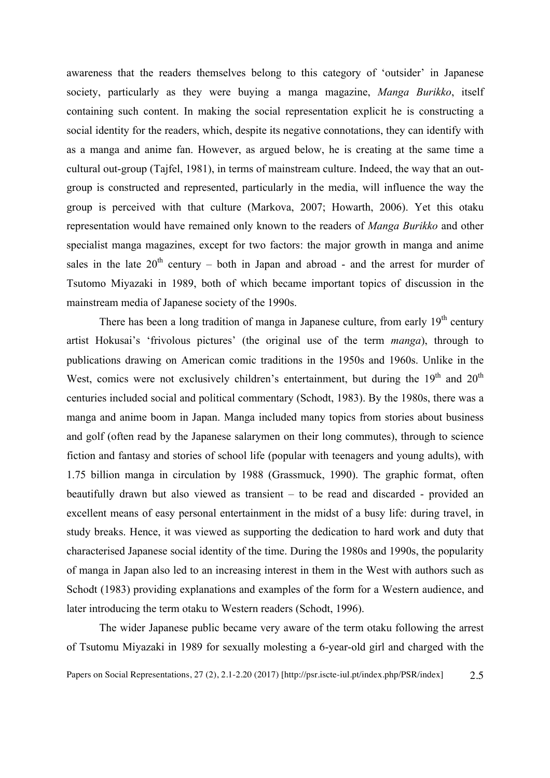awareness that the readers themselves belong to this category of 'outsider' in Japanese society, particularly as they were buying a manga magazine, *Manga Burikko*, itself containing such content. In making the social representation explicit he is constructing a social identity for the readers, which, despite its negative connotations, they can identify with as a manga and anime fan. However, as argued below, he is creating at the same time a cultural out-group (Tajfel, 1981), in terms of mainstream culture. Indeed, the way that an outgroup is constructed and represented, particularly in the media, will influence the way the group is perceived with that culture (Markova, 2007; Howarth, 2006). Yet this otaku representation would have remained only known to the readers of *Manga Burikko* and other specialist manga magazines, except for two factors: the major growth in manga and anime sales in the late  $20<sup>th</sup>$  century – both in Japan and abroad - and the arrest for murder of Tsutomo Miyazaki in 1989, both of which became important topics of discussion in the mainstream media of Japanese society of the 1990s.

There has been a long tradition of manga in Japanese culture, from early  $19<sup>th</sup>$  century artist Hokusai's 'frivolous pictures' (the original use of the term *manga*), through to publications drawing on American comic traditions in the 1950s and 1960s. Unlike in the West, comics were not exclusively children's entertainment, but during the  $19<sup>th</sup>$  and  $20<sup>th</sup>$ centuries included social and political commentary (Schodt, 1983). By the 1980s, there was a manga and anime boom in Japan. Manga included many topics from stories about business and golf (often read by the Japanese salarymen on their long commutes), through to science fiction and fantasy and stories of school life (popular with teenagers and young adults), with 1.75 billion manga in circulation by 1988 (Grassmuck, 1990). The graphic format, often beautifully drawn but also viewed as transient – to be read and discarded - provided an excellent means of easy personal entertainment in the midst of a busy life: during travel, in study breaks. Hence, it was viewed as supporting the dedication to hard work and duty that characterised Japanese social identity of the time. During the 1980s and 1990s, the popularity of manga in Japan also led to an increasing interest in them in the West with authors such as Schodt (1983) providing explanations and examples of the form for a Western audience, and later introducing the term otaku to Western readers (Schodt, 1996).

The wider Japanese public became very aware of the term otaku following the arrest of Tsutomu Miyazaki in 1989 for sexually molesting a 6-year-old girl and charged with the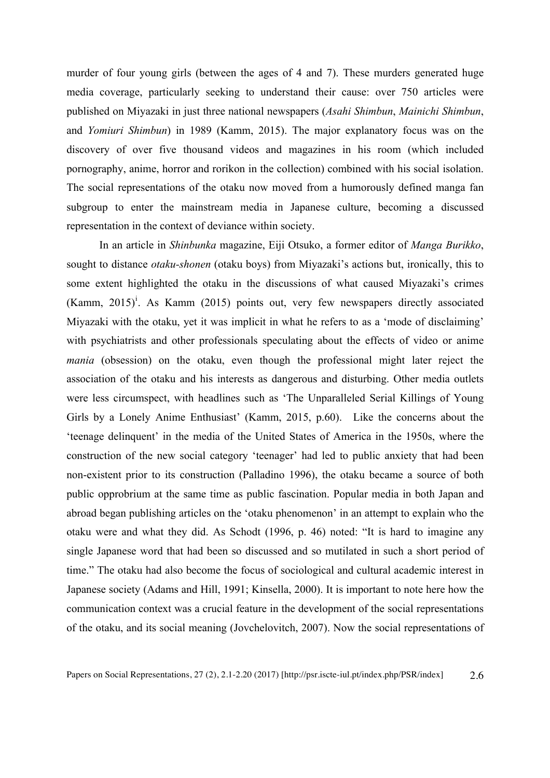murder of four young girls (between the ages of 4 and 7). These murders generated huge media coverage, particularly seeking to understand their cause: over 750 articles were published on Miyazaki in just three national newspapers (*Asahi Shimbun*, *Mainichi Shimbun*, and *Yomiuri Shimbun*) in 1989 (Kamm, 2015). The major explanatory focus was on the discovery of over five thousand videos and magazines in his room (which included pornography, anime, horror and rorikon in the collection) combined with his social isolation. The social representations of the otaku now moved from a humorously defined manga fan subgroup to enter the mainstream media in Japanese culture, becoming a discussed representation in the context of deviance within society.

In an article in *Shinbunka* magazine, Eiji Otsuko, a former editor of *Manga Burikko*, sought to distance *otaku-shonen* (otaku boys) from Miyazaki's actions but, ironically, this to some extent highlighted the otaku in the discussions of what caused Miyazaki's crimes (Kamm, 2015)<sup>i</sup>. As Kamm (2015) points out, very few newspapers directly associated Miyazaki with the otaku, yet it was implicit in what he refers to as a 'mode of disclaiming' with psychiatrists and other professionals speculating about the effects of video or anime *mania* (obsession) on the otaku, even though the professional might later reject the association of the otaku and his interests as dangerous and disturbing. Other media outlets were less circumspect, with headlines such as 'The Unparalleled Serial Killings of Young Girls by a Lonely Anime Enthusiast' (Kamm, 2015, p.60). Like the concerns about the 'teenage delinquent' in the media of the United States of America in the 1950s, where the construction of the new social category 'teenager' had led to public anxiety that had been non-existent prior to its construction (Palladino 1996), the otaku became a source of both public opprobrium at the same time as public fascination. Popular media in both Japan and abroad began publishing articles on the 'otaku phenomenon' in an attempt to explain who the otaku were and what they did. As Schodt (1996, p. 46) noted: "It is hard to imagine any single Japanese word that had been so discussed and so mutilated in such a short period of time." The otaku had also become the focus of sociological and cultural academic interest in Japanese society (Adams and Hill, 1991; Kinsella, 2000). It is important to note here how the communication context was a crucial feature in the development of the social representations of the otaku, and its social meaning (Jovchelovitch, 2007). Now the social representations of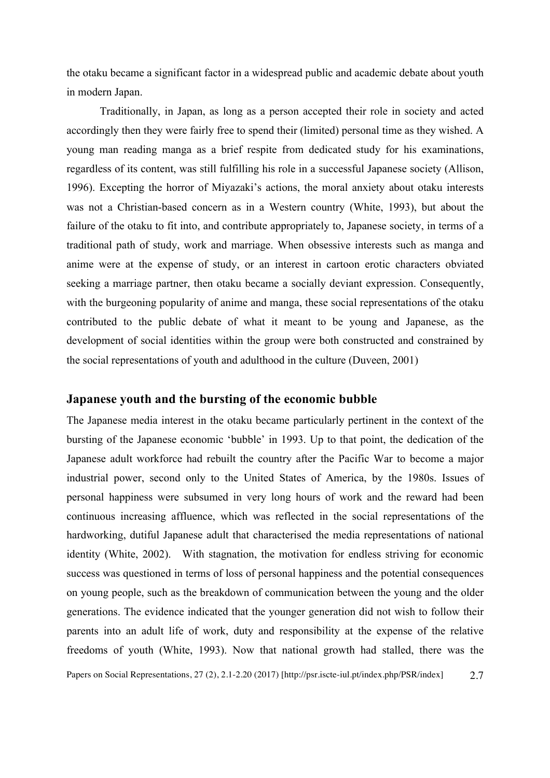the otaku became a significant factor in a widespread public and academic debate about youth in modern Japan.

Traditionally, in Japan, as long as a person accepted their role in society and acted accordingly then they were fairly free to spend their (limited) personal time as they wished. A young man reading manga as a brief respite from dedicated study for his examinations, regardless of its content, was still fulfilling his role in a successful Japanese society (Allison, 1996). Excepting the horror of Miyazaki's actions, the moral anxiety about otaku interests was not a Christian-based concern as in a Western country (White, 1993), but about the failure of the otaku to fit into, and contribute appropriately to, Japanese society, in terms of a traditional path of study, work and marriage. When obsessive interests such as manga and anime were at the expense of study, or an interest in cartoon erotic characters obviated seeking a marriage partner, then otaku became a socially deviant expression. Consequently, with the burgeoning popularity of anime and manga, these social representations of the otaku contributed to the public debate of what it meant to be young and Japanese, as the development of social identities within the group were both constructed and constrained by the social representations of youth and adulthood in the culture (Duveen, 2001)

## **Japanese youth and the bursting of the economic bubble**

Papers on Social Representations, 27 (2), 2.1-2.20 (2017) [http://psr.iscte-iul.pt/index.php/PSR/index] 2.7 The Japanese media interest in the otaku became particularly pertinent in the context of the bursting of the Japanese economic 'bubble' in 1993. Up to that point, the dedication of the Japanese adult workforce had rebuilt the country after the Pacific War to become a major industrial power, second only to the United States of America, by the 1980s. Issues of personal happiness were subsumed in very long hours of work and the reward had been continuous increasing affluence, which was reflected in the social representations of the hardworking, dutiful Japanese adult that characterised the media representations of national identity (White, 2002). With stagnation, the motivation for endless striving for economic success was questioned in terms of loss of personal happiness and the potential consequences on young people, such as the breakdown of communication between the young and the older generations. The evidence indicated that the younger generation did not wish to follow their parents into an adult life of work, duty and responsibility at the expense of the relative freedoms of youth (White, 1993). Now that national growth had stalled, there was the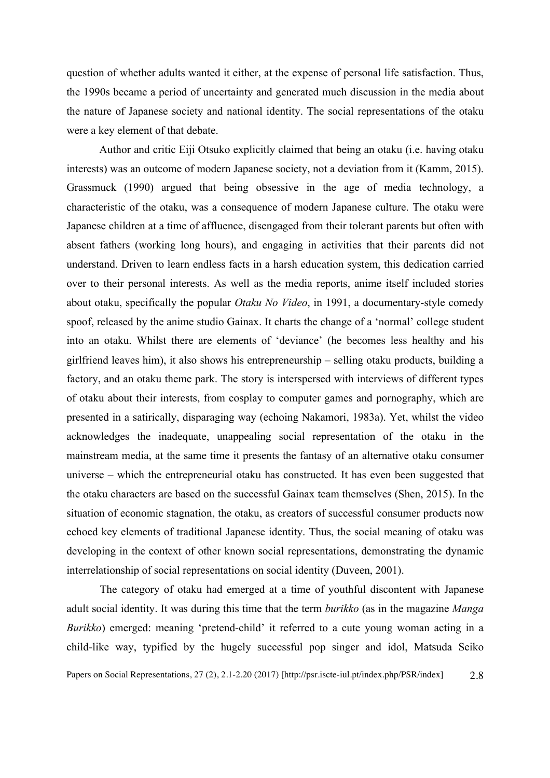question of whether adults wanted it either, at the expense of personal life satisfaction. Thus, the 1990s became a period of uncertainty and generated much discussion in the media about the nature of Japanese society and national identity. The social representations of the otaku were a key element of that debate.

Author and critic Eiji Otsuko explicitly claimed that being an otaku (i.e. having otaku interests) was an outcome of modern Japanese society, not a deviation from it (Kamm, 2015). Grassmuck (1990) argued that being obsessive in the age of media technology, a characteristic of the otaku, was a consequence of modern Japanese culture. The otaku were Japanese children at a time of affluence, disengaged from their tolerant parents but often with absent fathers (working long hours), and engaging in activities that their parents did not understand. Driven to learn endless facts in a harsh education system, this dedication carried over to their personal interests. As well as the media reports, anime itself included stories about otaku, specifically the popular *Otaku No Video*, in 1991, a documentary-style comedy spoof, released by the anime studio Gainax. It charts the change of a 'normal' college student into an otaku. Whilst there are elements of 'deviance' (he becomes less healthy and his girlfriend leaves him), it also shows his entrepreneurship – selling otaku products, building a factory, and an otaku theme park. The story is interspersed with interviews of different types of otaku about their interests, from cosplay to computer games and pornography, which are presented in a satirically, disparaging way (echoing Nakamori, 1983a). Yet, whilst the video acknowledges the inadequate, unappealing social representation of the otaku in the mainstream media, at the same time it presents the fantasy of an alternative otaku consumer universe – which the entrepreneurial otaku has constructed. It has even been suggested that the otaku characters are based on the successful Gainax team themselves (Shen, 2015). In the situation of economic stagnation, the otaku, as creators of successful consumer products now echoed key elements of traditional Japanese identity. Thus, the social meaning of otaku was developing in the context of other known social representations, demonstrating the dynamic interrelationship of social representations on social identity (Duveen, 2001).

The category of otaku had emerged at a time of youthful discontent with Japanese adult social identity. It was during this time that the term *burikko* (as in the magazine *Manga Burikko*) emerged: meaning 'pretend-child' it referred to a cute young woman acting in a child-like way, typified by the hugely successful pop singer and idol, Matsuda Seiko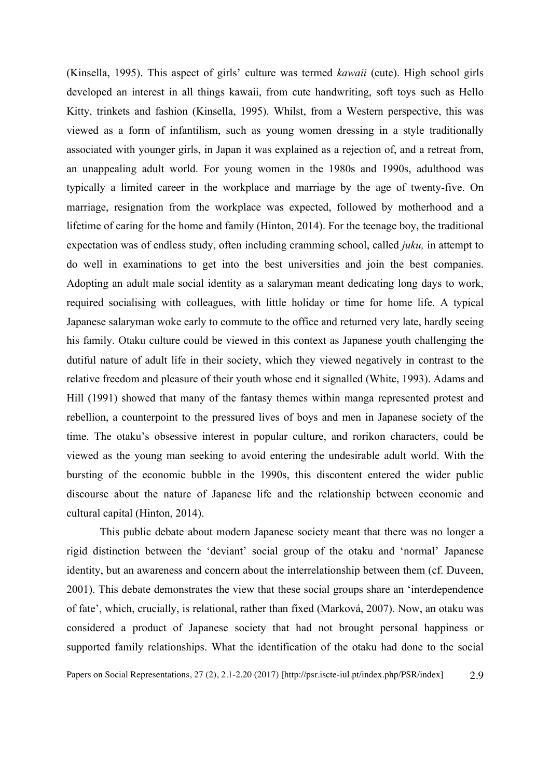(Kinsella, 1995). This aspect of girls' culture was termed *kawaii* (cute). High school girls developed an interest in all things kawaii, from cute handwriting, soft toys such as Hello Kitty, trinkets and fashion (Kinsella, 1995). Whilst, from a Western perspective, this was viewed as a form of infantilism, such as young women dressing in a style traditionally associated with younger girls, in Japan it was explained as a rejection of, and a retreat from, an unappealing adult world. For young women in the 1980s and 1990s, adulthood was typically a limited career in the workplace and marriage by the age of twenty-five. On marriage, resignation from the workplace was expected, followed by motherhood and a lifetime of caring for the home and family (Hinton, 2014). For the teenage boy, the traditional expectation was of endless study, often including cramming school, called *juku,* in attempt to do well in examinations to get into the best universities and join the best companies. Adopting an adult male social identity as a salaryman meant dedicating long days to work, required socialising with colleagues, with little holiday or time for home life. A typical Japanese salaryman woke early to commute to the office and returned very late, hardly seeing his family. Otaku culture could be viewed in this context as Japanese youth challenging the dutiful nature of adult life in their society, which they viewed negatively in contrast to the relative freedom and pleasure of their youth whose end it signalled (White, 1993). Adams and Hill (1991) showed that many of the fantasy themes within manga represented protest and rebellion, a counterpoint to the pressured lives of boys and men in Japanese society of the time. The otaku's obsessive interest in popular culture, and rorikon characters, could be viewed as the young man seeking to avoid entering the undesirable adult world. With the bursting of the economic bubble in the 1990s, this discontent entered the wider public discourse about the nature of Japanese life and the relationship between economic and cultural capital (Hinton, 2014).

This public debate about modern Japanese society meant that there was no longer a rigid distinction between the 'deviant' social group of the otaku and 'normal' Japanese identity, but an awareness and concern about the interrelationship between them (cf. Duveen, 2001). This debate demonstrates the view that these social groups share an 'interdependence of fate', which, crucially, is relational, rather than fixed (Marková, 2007). Now, an otaku was considered a product of Japanese society that had not brought personal happiness or supported family relationships. What the identification of the otaku had done to the social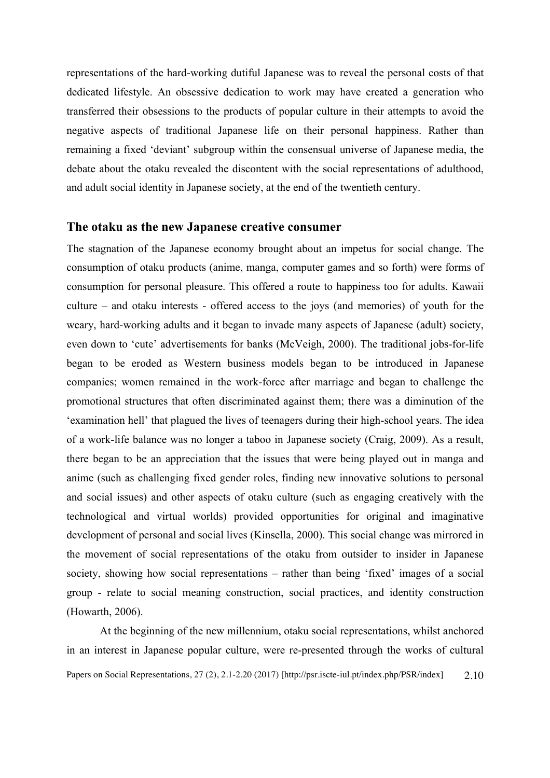representations of the hard-working dutiful Japanese was to reveal the personal costs of that dedicated lifestyle. An obsessive dedication to work may have created a generation who transferred their obsessions to the products of popular culture in their attempts to avoid the negative aspects of traditional Japanese life on their personal happiness. Rather than remaining a fixed 'deviant' subgroup within the consensual universe of Japanese media, the debate about the otaku revealed the discontent with the social representations of adulthood, and adult social identity in Japanese society, at the end of the twentieth century.

#### **The otaku as the new Japanese creative consumer**

The stagnation of the Japanese economy brought about an impetus for social change. The consumption of otaku products (anime, manga, computer games and so forth) were forms of consumption for personal pleasure. This offered a route to happiness too for adults. Kawaii culture – and otaku interests - offered access to the joys (and memories) of youth for the weary, hard-working adults and it began to invade many aspects of Japanese (adult) society, even down to 'cute' advertisements for banks (McVeigh, 2000). The traditional jobs-for-life began to be eroded as Western business models began to be introduced in Japanese companies; women remained in the work-force after marriage and began to challenge the promotional structures that often discriminated against them; there was a diminution of the 'examination hell' that plagued the lives of teenagers during their high-school years. The idea of a work-life balance was no longer a taboo in Japanese society (Craig, 2009). As a result, there began to be an appreciation that the issues that were being played out in manga and anime (such as challenging fixed gender roles, finding new innovative solutions to personal and social issues) and other aspects of otaku culture (such as engaging creatively with the technological and virtual worlds) provided opportunities for original and imaginative development of personal and social lives (Kinsella, 2000). This social change was mirrored in the movement of social representations of the otaku from outsider to insider in Japanese society, showing how social representations – rather than being 'fixed' images of a social group - relate to social meaning construction, social practices, and identity construction (Howarth, 2006).

Papers on Social Representations, 27 (2), 2.1-2.20 (2017) [http://psr.iscte-iul.pt/index.php/PSR/index] 2.10 At the beginning of the new millennium, otaku social representations, whilst anchored in an interest in Japanese popular culture, were re-presented through the works of cultural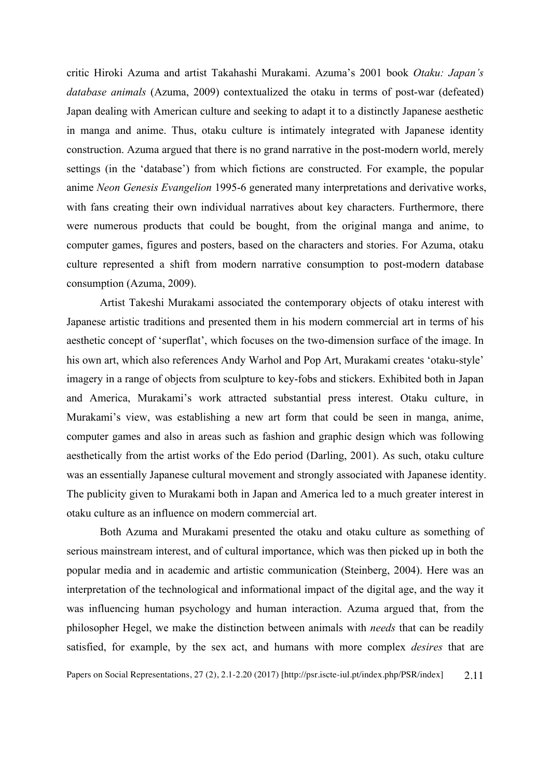critic Hiroki Azuma and artist Takahashi Murakami. Azuma's 2001 book *Otaku: Japan's database animals* (Azuma, 2009) contextualized the otaku in terms of post-war (defeated) Japan dealing with American culture and seeking to adapt it to a distinctly Japanese aesthetic in manga and anime. Thus, otaku culture is intimately integrated with Japanese identity construction. Azuma argued that there is no grand narrative in the post-modern world, merely settings (in the 'database') from which fictions are constructed. For example, the popular anime *Neon Genesis Evangelion* 1995-6 generated many interpretations and derivative works, with fans creating their own individual narratives about key characters. Furthermore, there were numerous products that could be bought, from the original manga and anime, to computer games, figures and posters, based on the characters and stories. For Azuma, otaku culture represented a shift from modern narrative consumption to post-modern database consumption (Azuma, 2009).

Artist Takeshi Murakami associated the contemporary objects of otaku interest with Japanese artistic traditions and presented them in his modern commercial art in terms of his aesthetic concept of 'superflat', which focuses on the two-dimension surface of the image. In his own art, which also references Andy Warhol and Pop Art, Murakami creates 'otaku-style' imagery in a range of objects from sculpture to key-fobs and stickers. Exhibited both in Japan and America, Murakami's work attracted substantial press interest. Otaku culture, in Murakami's view, was establishing a new art form that could be seen in manga, anime, computer games and also in areas such as fashion and graphic design which was following aesthetically from the artist works of the Edo period (Darling, 2001). As such, otaku culture was an essentially Japanese cultural movement and strongly associated with Japanese identity. The publicity given to Murakami both in Japan and America led to a much greater interest in otaku culture as an influence on modern commercial art.

Both Azuma and Murakami presented the otaku and otaku culture as something of serious mainstream interest, and of cultural importance, which was then picked up in both the popular media and in academic and artistic communication (Steinberg, 2004). Here was an interpretation of the technological and informational impact of the digital age, and the way it was influencing human psychology and human interaction. Azuma argued that, from the philosopher Hegel, we make the distinction between animals with *needs* that can be readily satisfied, for example, by the sex act, and humans with more complex *desires* that are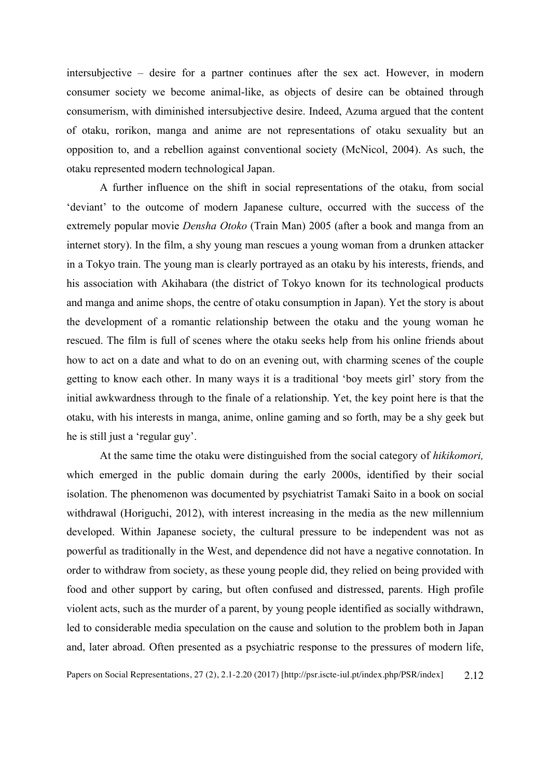intersubjective – desire for a partner continues after the sex act. However, in modern consumer society we become animal-like, as objects of desire can be obtained through consumerism, with diminished intersubjective desire. Indeed, Azuma argued that the content of otaku, rorikon, manga and anime are not representations of otaku sexuality but an opposition to, and a rebellion against conventional society (McNicol, 2004). As such, the otaku represented modern technological Japan.

A further influence on the shift in social representations of the otaku, from social 'deviant' to the outcome of modern Japanese culture, occurred with the success of the extremely popular movie *Densha Otoko* (Train Man) 2005 (after a book and manga from an internet story). In the film, a shy young man rescues a young woman from a drunken attacker in a Tokyo train. The young man is clearly portrayed as an otaku by his interests, friends, and his association with Akihabara (the district of Tokyo known for its technological products and manga and anime shops, the centre of otaku consumption in Japan). Yet the story is about the development of a romantic relationship between the otaku and the young woman he rescued. The film is full of scenes where the otaku seeks help from his online friends about how to act on a date and what to do on an evening out, with charming scenes of the couple getting to know each other. In many ways it is a traditional 'boy meets girl' story from the initial awkwardness through to the finale of a relationship. Yet, the key point here is that the otaku, with his interests in manga, anime, online gaming and so forth, may be a shy geek but he is still just a 'regular guy'.

At the same time the otaku were distinguished from the social category of *hikikomori,* which emerged in the public domain during the early 2000s, identified by their social isolation. The phenomenon was documented by psychiatrist Tamaki Saito in a book on social withdrawal (Horiguchi, 2012), with interest increasing in the media as the new millennium developed. Within Japanese society, the cultural pressure to be independent was not as powerful as traditionally in the West, and dependence did not have a negative connotation. In order to withdraw from society, as these young people did, they relied on being provided with food and other support by caring, but often confused and distressed, parents. High profile violent acts, such as the murder of a parent, by young people identified as socially withdrawn, led to considerable media speculation on the cause and solution to the problem both in Japan and, later abroad. Often presented as a psychiatric response to the pressures of modern life,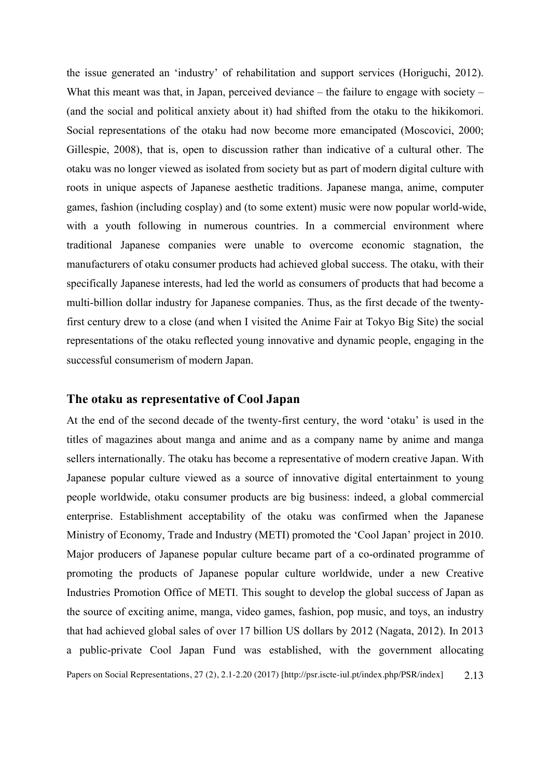the issue generated an 'industry' of rehabilitation and support services (Horiguchi, 2012). What this meant was that, in Japan, perceived deviance – the failure to engage with society – (and the social and political anxiety about it) had shifted from the otaku to the hikikomori. Social representations of the otaku had now become more emancipated (Moscovici, 2000; Gillespie, 2008), that is, open to discussion rather than indicative of a cultural other. The otaku was no longer viewed as isolated from society but as part of modern digital culture with roots in unique aspects of Japanese aesthetic traditions. Japanese manga, anime, computer games, fashion (including cosplay) and (to some extent) music were now popular world-wide, with a youth following in numerous countries. In a commercial environment where traditional Japanese companies were unable to overcome economic stagnation, the manufacturers of otaku consumer products had achieved global success. The otaku, with their specifically Japanese interests, had led the world as consumers of products that had become a multi-billion dollar industry for Japanese companies. Thus, as the first decade of the twentyfirst century drew to a close (and when I visited the Anime Fair at Tokyo Big Site) the social representations of the otaku reflected young innovative and dynamic people, engaging in the successful consumerism of modern Japan.

#### **The otaku as representative of Cool Japan**

Papers on Social Representations, 27 (2), 2.1-2.20 (2017) [http://psr.iscte-iul.pt/index.php/PSR/index] 2.13 At the end of the second decade of the twenty-first century, the word 'otaku' is used in the titles of magazines about manga and anime and as a company name by anime and manga sellers internationally. The otaku has become a representative of modern creative Japan. With Japanese popular culture viewed as a source of innovative digital entertainment to young people worldwide, otaku consumer products are big business: indeed, a global commercial enterprise. Establishment acceptability of the otaku was confirmed when the Japanese Ministry of Economy, Trade and Industry (METI) promoted the 'Cool Japan' project in 2010. Major producers of Japanese popular culture became part of a co-ordinated programme of promoting the products of Japanese popular culture worldwide, under a new Creative Industries Promotion Office of METI. This sought to develop the global success of Japan as the source of exciting anime, manga, video games, fashion, pop music, and toys, an industry that had achieved global sales of over 17 billion US dollars by 2012 (Nagata, 2012). In 2013 a public-private Cool Japan Fund was established, with the government allocating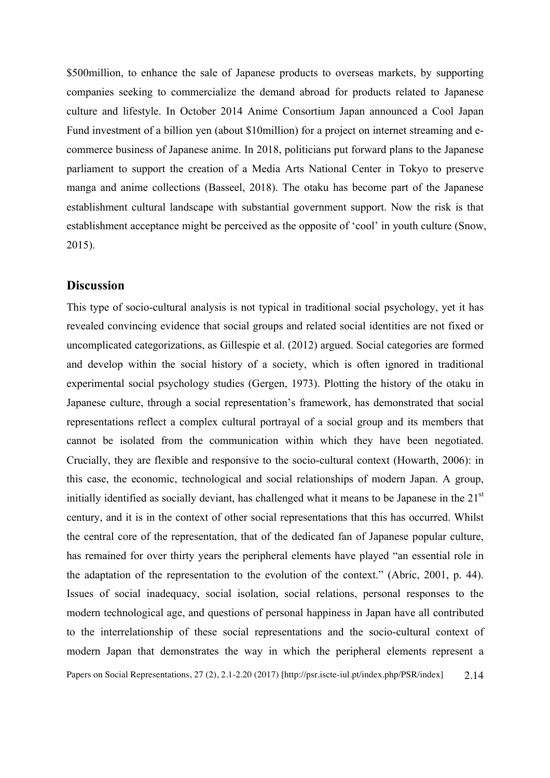\$500million, to enhance the sale of Japanese products to overseas markets, by supporting companies seeking to commercialize the demand abroad for products related to Japanese culture and lifestyle. In October 2014 Anime Consortium Japan announced a Cool Japan Fund investment of a billion yen (about \$10million) for a project on internet streaming and ecommerce business of Japanese anime. In 2018, politicians put forward plans to the Japanese parliament to support the creation of a Media Arts National Center in Tokyo to preserve manga and anime collections (Basseel, 2018). The otaku has become part of the Japanese establishment cultural landscape with substantial government support. Now the risk is that establishment acceptance might be perceived as the opposite of 'cool' in youth culture (Snow, 2015).

#### **Discussion**

Papers on Social Representations, 27 (2), 2.1-2.20 (2017) [http://psr.iscte-iul.pt/index.php/PSR/index] 2.14 This type of socio-cultural analysis is not typical in traditional social psychology, yet it has revealed convincing evidence that social groups and related social identities are not fixed or uncomplicated categorizations, as Gillespie et al. (2012) argued. Social categories are formed and develop within the social history of a society, which is often ignored in traditional experimental social psychology studies (Gergen, 1973). Plotting the history of the otaku in Japanese culture, through a social representation's framework, has demonstrated that social representations reflect a complex cultural portrayal of a social group and its members that cannot be isolated from the communication within which they have been negotiated. Crucially, they are flexible and responsive to the socio-cultural context (Howarth, 2006): in this case, the economic, technological and social relationships of modern Japan. A group, initially identified as socially deviant, has challenged what it means to be Japanese in the  $21<sup>st</sup>$ century, and it is in the context of other social representations that this has occurred. Whilst the central core of the representation, that of the dedicated fan of Japanese popular culture, has remained for over thirty years the peripheral elements have played "an essential role in the adaptation of the representation to the evolution of the context." (Abric, 2001, p. 44). Issues of social inadequacy, social isolation, social relations, personal responses to the modern technological age, and questions of personal happiness in Japan have all contributed to the interrelationship of these social representations and the socio-cultural context of modern Japan that demonstrates the way in which the peripheral elements represent a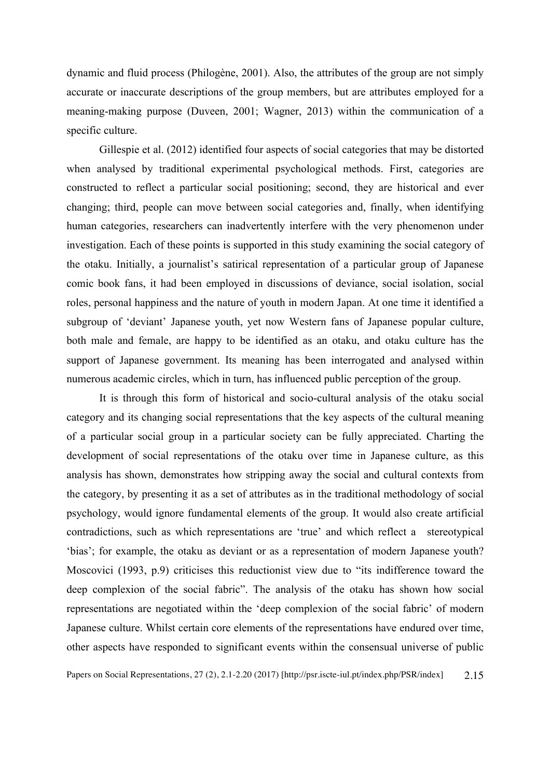dynamic and fluid process (Philogène, 2001). Also, the attributes of the group are not simply accurate or inaccurate descriptions of the group members, but are attributes employed for a meaning-making purpose (Duveen, 2001; Wagner, 2013) within the communication of a specific culture.

Gillespie et al. (2012) identified four aspects of social categories that may be distorted when analysed by traditional experimental psychological methods. First, categories are constructed to reflect a particular social positioning; second, they are historical and ever changing; third, people can move between social categories and, finally, when identifying human categories, researchers can inadvertently interfere with the very phenomenon under investigation. Each of these points is supported in this study examining the social category of the otaku. Initially, a journalist's satirical representation of a particular group of Japanese comic book fans, it had been employed in discussions of deviance, social isolation, social roles, personal happiness and the nature of youth in modern Japan. At one time it identified a subgroup of 'deviant' Japanese youth, yet now Western fans of Japanese popular culture, both male and female, are happy to be identified as an otaku, and otaku culture has the support of Japanese government. Its meaning has been interrogated and analysed within numerous academic circles, which in turn, has influenced public perception of the group.

It is through this form of historical and socio-cultural analysis of the otaku social category and its changing social representations that the key aspects of the cultural meaning of a particular social group in a particular society can be fully appreciated. Charting the development of social representations of the otaku over time in Japanese culture, as this analysis has shown, demonstrates how stripping away the social and cultural contexts from the category, by presenting it as a set of attributes as in the traditional methodology of social psychology, would ignore fundamental elements of the group. It would also create artificial contradictions, such as which representations are 'true' and which reflect a stereotypical 'bias'; for example, the otaku as deviant or as a representation of modern Japanese youth? Moscovici (1993, p.9) criticises this reductionist view due to "its indifference toward the deep complexion of the social fabric". The analysis of the otaku has shown how social representations are negotiated within the 'deep complexion of the social fabric' of modern Japanese culture. Whilst certain core elements of the representations have endured over time, other aspects have responded to significant events within the consensual universe of public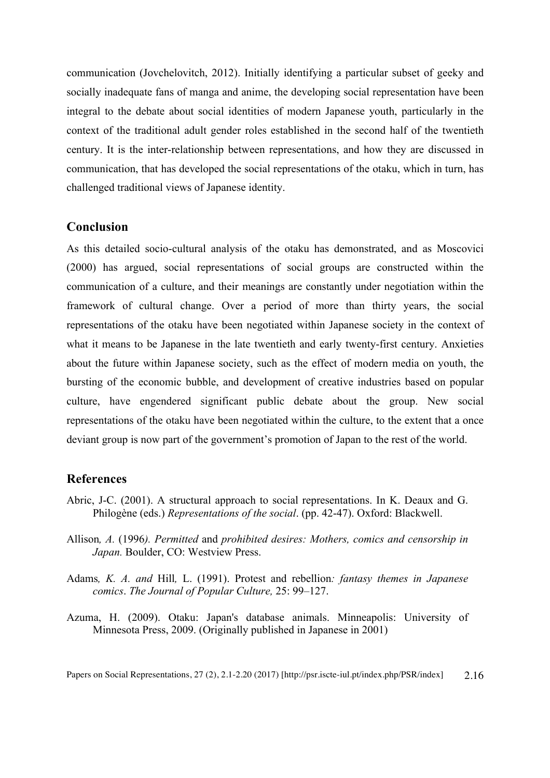communication (Jovchelovitch, 2012). Initially identifying a particular subset of geeky and socially inadequate fans of manga and anime, the developing social representation have been integral to the debate about social identities of modern Japanese youth, particularly in the context of the traditional adult gender roles established in the second half of the twentieth century. It is the inter-relationship between representations, and how they are discussed in communication, that has developed the social representations of the otaku, which in turn, has challenged traditional views of Japanese identity.

## **Conclusion**

As this detailed socio-cultural analysis of the otaku has demonstrated, and as Moscovici (2000) has argued, social representations of social groups are constructed within the communication of a culture, and their meanings are constantly under negotiation within the framework of cultural change. Over a period of more than thirty years, the social representations of the otaku have been negotiated within Japanese society in the context of what it means to be Japanese in the late twentieth and early twenty-first century. Anxieties about the future within Japanese society, such as the effect of modern media on youth, the bursting of the economic bubble, and development of creative industries based on popular culture, have engendered significant public debate about the group. New social representations of the otaku have been negotiated within the culture, to the extent that a once deviant group is now part of the government's promotion of Japan to the rest of the world.

#### **References**

- Abric, J-C. (2001). A structural approach to social representations. In K. Deaux and G. Philogène (eds.) *Representations of the social*. (pp. 42-47). Oxford: Blackwell.
- Allison*, A.* (1996*). Permitted* and *prohibited desires: Mothers, comics and censorship in Japan.* Boulder, CO: Westview Press.
- Adams*, K. A. and* Hill*,* L. (1991). Protest and rebellion*: fantasy themes in Japanese comics*. *The Journal of Popular Culture,* 25: 99–127.
- Azuma, H. (2009). Otaku: Japan's database animals. Minneapolis: University of Minnesota Press, 2009. (Originally published in Japanese in 2001)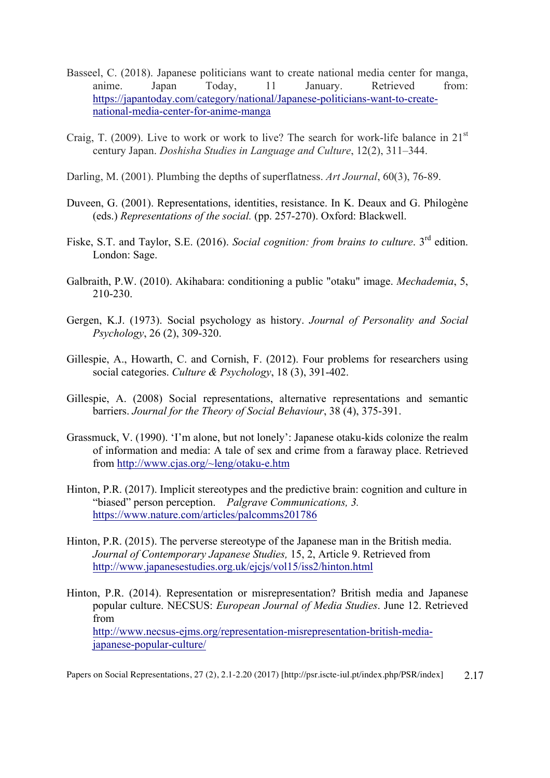- Basseel, C. (2018). Japanese politicians want to create national media center for manga, anime. Japan Today, 11 January. Retrieved from: https://japantoday.com/category/national/Japanese-politicians-want-to-createnational-media-center-for-anime-manga
- Craig, T. (2009). Live to work or work to live? The search for work-life balance in  $21<sup>st</sup>$ century Japan. *Doshisha Studies in Language and Culture*, 12(2), 311–344.
- Darling, M. (2001). Plumbing the depths of superflatness. *Art Journal*, 60(3), 76-89.
- Duveen, G. (2001). Representations, identities, resistance. In K. Deaux and G. Philogène (eds.) *Representations of the social.* (pp. 257-270). Oxford: Blackwell.
- Fiske, S.T. and Taylor, S.E. (2016). *Social cognition: from brains to culture*. 3<sup>rd</sup> edition. London: Sage.
- Galbraith, P.W. (2010). Akihabara: conditioning a public "otaku" image. *Mechademia*, 5, 210-230.
- Gergen, K.J. (1973). Social psychology as history. *Journal of Personality and Social Psychology*, 26 (2), 309-320.
- Gillespie, A., Howarth, C. and Cornish, F. (2012). Four problems for researchers using social categories. *Culture & Psychology*, 18 (3), 391-402.
- Gillespie, A. (2008) Social representations, alternative representations and semantic barriers. *Journal for the Theory of Social Behaviour*, 38 (4), 375-391.
- Grassmuck, V. (1990). 'I'm alone, but not lonely': Japanese otaku-kids colonize the realm of information and media: A tale of sex and crime from a faraway place. Retrieved from http://www.cjas.org/~leng/otaku-e.htm
- Hinton, P.R. (2017). Implicit stereotypes and the predictive brain: cognition and culture in "biased" person perception. *Palgrave Communications, 3.* https://www.nature.com/articles/palcomms201786
- Hinton, P.R. (2015). The perverse stereotype of the Japanese man in the British media. *Journal of Contemporary Japanese Studies,* 15, 2, Article 9. Retrieved from http://www.japanesestudies.org.uk/ejcjs/vol15/iss2/hinton.html
- Hinton, P.R. (2014). Representation or misrepresentation? British media and Japanese popular culture. NECSUS: *European Journal of Media Studies*. June 12. Retrieved from http://www.necsus-ejms.org/representation-misrepresentation-british-mediajapanese-popular-culture/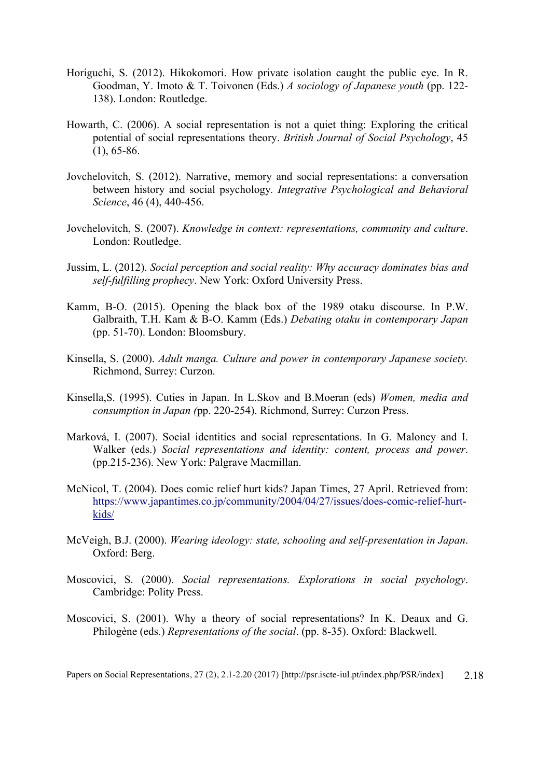- Horiguchi, S. (2012). Hikokomori. How private isolation caught the public eye. In R. Goodman, Y. Imoto & T. Toivonen (Eds.) *A sociology of Japanese youth* (pp. 122- 138). London: Routledge.
- Howarth, C. (2006). A social representation is not a quiet thing: Exploring the critical potential of social representations theory. *British Journal of Social Psychology*, 45  $(1), 65-86.$
- Jovchelovitch, S. (2012). Narrative, memory and social representations: a conversation between history and social psychology*. Integrative Psychological and Behavioral Science*, 46 (4), 440-456.
- Jovchelovitch, S. (2007). *Knowledge in context: representations, community and culture*. London: Routledge.
- Jussim, L. (2012). *Social perception and social reality: Why accuracy dominates bias and self-fulfilling prophecy*. New York: Oxford University Press.
- Kamm, B-O. (2015). Opening the black box of the 1989 otaku discourse. In P.W. Galbraith, T.H. Kam & B-O. Kamm (Eds.) *Debating otaku in contemporary Japan* (pp. 51-70). London: Bloomsbury.
- Kinsella, S. (2000). *Adult manga. Culture and power in contemporary Japanese society.* Richmond, Surrey: Curzon.
- Kinsella,S. (1995). Cuties in Japan. In L.Skov and B.Moeran (eds) *Women, media and consumption in Japan (*pp. 220-254). Richmond, Surrey: Curzon Press.
- Marková, I. (2007). Social identities and social representations. In G. Maloney and I. Walker (eds.) *Social representations and identity: content, process and power*. (pp.215-236). New York: Palgrave Macmillan.
- McNicol, T. (2004). Does comic relief hurt kids? Japan Times, 27 April. Retrieved from: https://www.japantimes.co.jp/community/2004/04/27/issues/does-comic-relief-hurtkids/
- McVeigh, B.J. (2000). *Wearing ideology: state, schooling and self-presentation in Japan*. Oxford: Berg.
- Moscovici, S. (2000). *Social representations. Explorations in social psychology*. Cambridge: Polity Press.
- Moscovici, S. (2001). Why a theory of social representations? In K. Deaux and G. Philogène (eds.) *Representations of the social*. (pp. 8-35). Oxford: Blackwell.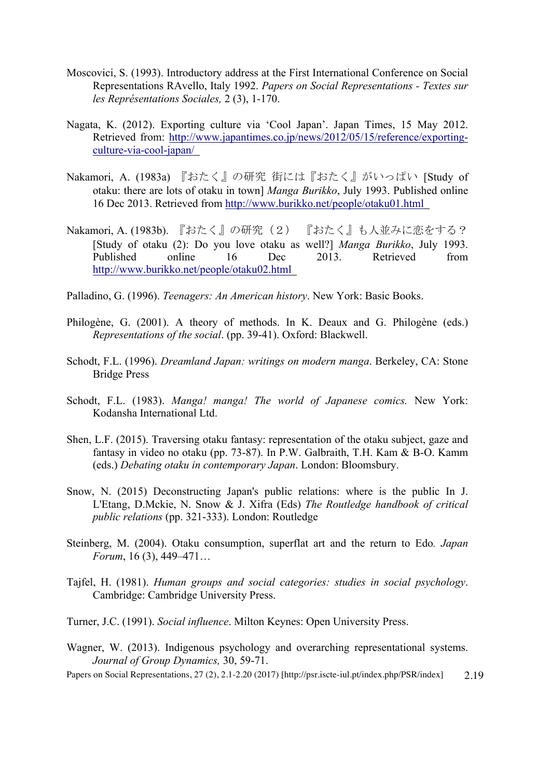- Moscovici, S. (1993). Introductory address at the First International Conference on Social Representations RAvello, Italy 1992. *Papers on Social Representations - Textes sur les Représentations Sociales,* 2 (3), 1-170.
- Nagata, K. (2012). Exporting culture via 'Cool Japan'. Japan Times, 15 May 2012. Retrieved from: http://www.japantimes.co.jp/news/2012/05/15/reference/exportingculture-via-cool-japan/
- Nakamori, A. (1983a) 『おたく』の研究 街には『おたく』がいっぱい [Study of otaku: there are lots of otaku in town] *Manga Burikko*, July 1993. Published online 16 Dec 2013. Retrieved from http://www.burikko.net/people/otaku01.html
- Nakamori, A. (1983b). 『おたく』の研究(2) 『おたく』も人並みに恋をする? [Study of otaku (2): Do you love otaku as well?] *Manga Burikko*, July 1993. Published online 16 Dec 2013. Retrieved from http://www.burikko.net/people/otaku02.html
- Palladino, G. (1996). *Teenagers: An American history*. New York: Basic Books.
- Philogène, G. (2001). A theory of methods. In K. Deaux and G. Philogène (eds.) *Representations of the social*. (pp. 39-41). Oxford: Blackwell.
- Schodt, F.L. (1996). *Dreamland Japan: writings on modern manga*. Berkeley, CA: Stone Bridge Press
- Schodt, F.L. (1983). *Manga! manga! The world of Japanese comics.* New York: Kodansha International Ltd.
- Shen, L.F. (2015). Traversing otaku fantasy: representation of the otaku subject, gaze and fantasy in video no otaku (pp. 73-87). In P.W. Galbraith, T.H. Kam & B-O. Kamm (eds.) *Debating otaku in contemporary Japan*. London: Bloomsbury.
- Snow, N. (2015) Deconstructing Japan's public relations: where is the public In J. L'Etang, D.Mckie, N. Snow & J. Xifra (Eds) *The Routledge handbook of critical public relations* (pp. 321-333). London: Routledge
- Steinberg, M. (2004). Otaku consumption, superflat art and the return to Edo*. Japan Forum*, 16 (3), 449–471…
- Tajfel, H. (1981). *Human groups and social categories: studies in social psychology*. Cambridge: Cambridge University Press.
- Turner, J.C. (1991). *Social influence*. Milton Keynes: Open University Press.
- Wagner, W. (2013). Indigenous psychology and overarching representational systems. *Journal of Group Dynamics,* 30, 59-71.
- Papers on Social Representations, 27 (2), 2.1-2.20 (2017) [http://psr.iscte-iul.pt/index.php/PSR/index] 2.19